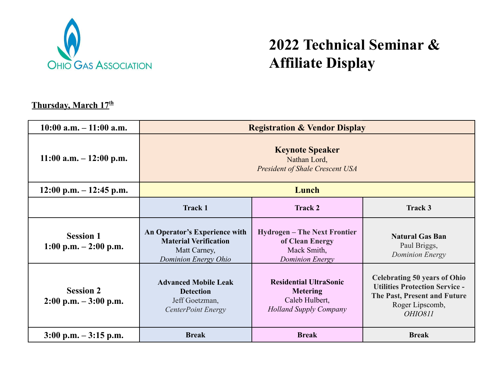

## **2022 Technical Seminar & Affiliate Display**

## **Thursday, March 17 th**

| $10:00$ a.m. $-11:00$ a.m.                                  | <b>Registration &amp; Vendor Display</b>                                                              |                                                                                                     |                                                                                                                                                          |
|-------------------------------------------------------------|-------------------------------------------------------------------------------------------------------|-----------------------------------------------------------------------------------------------------|----------------------------------------------------------------------------------------------------------------------------------------------------------|
| $11:00$ a.m. $-12:00$ p.m.                                  | <b>Keynote Speaker</b><br>Nathan Lord,<br><b>President of Shale Crescent USA</b>                      |                                                                                                     |                                                                                                                                                          |
| $12:00$ p.m. $-12:45$ p.m.                                  | Lunch                                                                                                 |                                                                                                     |                                                                                                                                                          |
|                                                             | <b>Track 1</b>                                                                                        | <b>Track 2</b>                                                                                      | Track 3                                                                                                                                                  |
| <b>Session 1</b><br>$1:00 \text{ p.m.} - 2:00 \text{ p.m.}$ | An Operator's Experience with<br><b>Material Verification</b><br>Matt Carney,<br>Dominion Energy Ohio | <b>Hydrogen – The Next Frontier</b><br>of Clean Energy<br>Mack Smith,<br><b>Dominion Energy</b>     | <b>Natural Gas Ban</b><br>Paul Briggs,<br>Dominion Energy                                                                                                |
| <b>Session 2</b><br>$2:00 \text{ p.m.} - 3:00 \text{ p.m.}$ | <b>Advanced Mobile Leak</b><br><b>Detection</b><br>Jeff Goetzman,<br><b>CenterPoint Energy</b>        | <b>Residential UltraSonic</b><br><b>Metering</b><br>Caleb Hulbert,<br><b>Holland Supply Company</b> | <b>Celebrating 50 years of Ohio</b><br><b>Utilities Protection Service -</b><br>The Past, Present and Future<br>Roger Lipscomb,<br><i><b>OHIO811</b></i> |
| $3:00 \text{ p.m.} - 3:15 \text{ p.m.}$                     | <b>Break</b>                                                                                          | <b>Break</b>                                                                                        | <b>Break</b>                                                                                                                                             |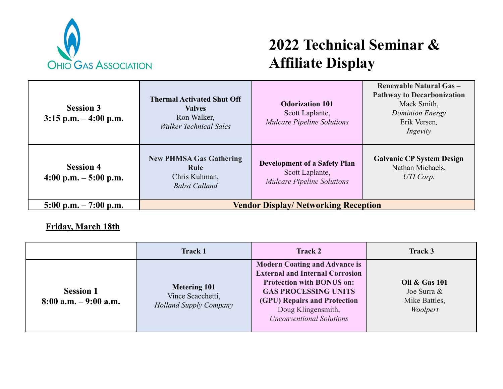

## **2022 Technical Seminar & Affiliate Display**

| <b>Session 3</b><br>$3:15$ p.m. $-4:00$ p.m. | <b>Thermal Activated Shut Off</b><br><b>Valves</b><br>Ron Walker,<br><b>Walker Technical Sales</b> | <b>Odorization 101</b><br>Scott Laplante,<br><b>Mulcare Pipeline Solutions</b>              | <b>Renewable Natural Gas -</b><br><b>Pathway to Decarbonization</b><br>Mack Smith,<br><b>Dominion Energy</b><br>Erik Versen,<br>Ingevity |
|----------------------------------------------|----------------------------------------------------------------------------------------------------|---------------------------------------------------------------------------------------------|------------------------------------------------------------------------------------------------------------------------------------------|
| <b>Session 4</b><br>4:00 p.m. $-5:00$ p.m.   | <b>New PHMSA Gas Gathering</b><br>Rule<br>Chris Kuhman,<br><b>Babst Calland</b>                    | <b>Development of a Safety Plan</b><br>Scott Laplante,<br><b>Mulcare Pipeline Solutions</b> | <b>Galvanic CP System Design</b><br>Nathan Michaels,<br>UTI Corp.                                                                        |
| $5:00 \text{ p.m.} - 7:00 \text{ p.m.}$      | <b>Vendor Display/ Networking Reception</b>                                                        |                                                                                             |                                                                                                                                          |

**Friday, March 18th**

|                                              | <b>Track 1</b>                                                            | Track 2                                                                                                                                                                                                                                    | Track 3                                                              |
|----------------------------------------------|---------------------------------------------------------------------------|--------------------------------------------------------------------------------------------------------------------------------------------------------------------------------------------------------------------------------------------|----------------------------------------------------------------------|
| <b>Session 1</b><br>$8:00$ a.m. $-9:00$ a.m. | <b>Metering 101</b><br>Vince Scacchetti,<br><b>Holland Supply Company</b> | <b>Modern Coating and Advance is</b><br><b>External and Internal Corrosion</b><br><b>Protection with BONUS on:</b><br><b>GAS PROCESSING UNITS</b><br>(GPU) Repairs and Protection<br>Doug Klingensmith,<br><b>Unconventional Solutions</b> | <b>Oil &amp; Gas 101</b><br>Joe Surra &<br>Mike Battles,<br>Woolpert |